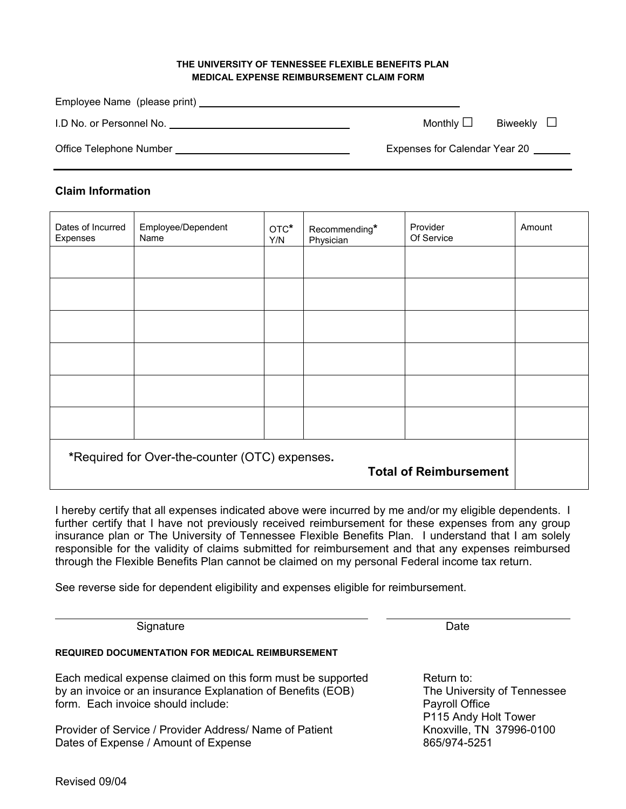## **THE UNIVERSITY OF TENNESSEE FLEXIBLE BENEFITS PLAN MEDICAL EXPENSE REIMBURSEMENT CLAIM FORM**

| Employee Name (please print) |                               |  |
|------------------------------|-------------------------------|--|
| I.D No. or Personnel No.     | Monthly $\Box$<br>Biweekly L  |  |
| Office Telephone Number      | Expenses for Calendar Year 20 |  |

## **Claim Information**

| Dates of Incurred<br>Expenses                                                   | Employee/Dependent<br>Name | OTC*<br>Y/N | Recommending*<br>Physician | Provider<br>Of Service | Amount |
|---------------------------------------------------------------------------------|----------------------------|-------------|----------------------------|------------------------|--------|
|                                                                                 |                            |             |                            |                        |        |
|                                                                                 |                            |             |                            |                        |        |
|                                                                                 |                            |             |                            |                        |        |
|                                                                                 |                            |             |                            |                        |        |
|                                                                                 |                            |             |                            |                        |        |
|                                                                                 |                            |             |                            |                        |        |
| *Required for Over-the-counter (OTC) expenses.<br><b>Total of Reimbursement</b> |                            |             |                            |                        |        |

I hereby certify that all expenses indicated above were incurred by me and/or my eligible dependents. I further certify that I have not previously received reimbursement for these expenses from any group insurance plan or The University of Tennessee Flexible Benefits Plan. I understand that I am solely responsible for the validity of claims submitted for reimbursement and that any expenses reimbursed through the Flexible Benefits Plan cannot be claimed on my personal Federal income tax return.

Signature Date **Date** 

See reverse side for dependent eligibility and expenses eligible for reimbursement.

**REQUIRED DOCUMENTATION FOR MEDICAL REIMBURSEMENT** Each medical expense claimed on this form must be supported Return to: by an invoice or an insurance Explanation of Benefits (EOB) The University of Tennessee form. Each invoice should include: Payroll Office Provider of Service / Provider Address/ Name of Patient Knoxville, TN 37996-0100 Dates of Expense / Amount of Expense 865/974-5251

P115 Andy Holt Tower